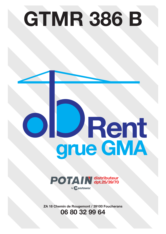## **GTMR 386 B**

# **Rent grue GMA**



**ZA 18 Chemin de Rougemont / 39100 Foucherans 06 80 32 99 64**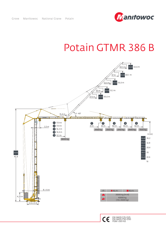### Potain GTMR 386 B

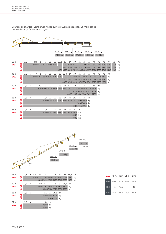

### Courbes de charges / Lastkurven / Load curves / Curvas de cargas / Curve di carico Curvas de carga / Кривые нагрузок

|                                  |             |     |   |      |      |                                               |    | 31 <sub>m</sub> | 4100 kg    |                              | 35 m<br>3550 kg |                          | 40 m<br>2750 kg | <u>manawww.wina www.com/wanawa inana</u><br>45m                                               | 2000 kg       | 50 <sub>m</sub> | 1500 kg             |                                                                                                                                                                                       |                     |    |                     |
|----------------------------------|-------------|-----|---|------|------|-----------------------------------------------|----|-----------------|------------|------------------------------|-----------------|--------------------------|-----------------|-----------------------------------------------------------------------------------------------|---------------|-----------------|---------------------|---------------------------------------------------------------------------------------------------------------------------------------------------------------------------------------|---------------------|----|---------------------|
| 50 m<br><b>ZAVANA</b>            | <b>Ada</b>  | 3,5 | ь | 13,1 | 15   | 17<br>8000 6710 5720 4655 4125                | 20 |                 | $\sim$ $-$ | 22 23,2 25                   | 27              | 30                       | 32              | 35                                                                                            | 37            | 40              | 42                  | 45<br>3500 3170 2765 2535 2250 2085 1870 1745 1580 1480 1350<br>3500 3170 2765 2535 2250 2085 1870 1745 1580 1480 1350<br>4000 3650 3320 2915 2685 2400 2235 2020 1895 1730 1630 1500 | 47                  | 50 | m<br>kg<br>kg<br>kg |
| 45 m<br><b>FAVALL</b>            | <b>WHAT</b> | 3,5 |   | 14,4 | 15   | 17<br>8000 7610 6500 5310 4710 4010           | 20 | 22              |            | 25 25,8 27<br>$\sim 10^{-1}$ |                 | 30                       | 32              | 35                                                                                            | 37            | 40              | 42                  | 45<br>3640 3180 2925 2600 2415 2175 2035 1850<br>3640 3180 2925 2600 2415 2175 2035 1850<br>4000 3790 3330 3075 2750 2565 2325 2185 2000                                              | m<br>kg<br>kg<br>kg |    |                     |
| 40 m<br><b>FANANA</b>            | <b>HAT</b>  | 3,5 |   |      | 16.2 | 17<br>8000 7580 6205 5515 4710 4280           | 20 | 22              | 25         |                              | 27 29,4 30      |                          | 32              | 35<br>- 3755 3460 3090 2875 2600<br>3755 3460 3090 2875 2600<br>4000 3905 3610 3240 3025 2750 | 37            | 40              | m<br>kg<br>kg<br>kg |                                                                                                                                                                                       |                     |    |                     |
| 35 m<br><b>FANANA</b>            | <b>THEE</b> | 3,5 | ▶ |      |      | 17.4<br>8000 6775 6030 5160 4695 4120         | 20 | 22              | 25         | 27                           | 30              | 31,7<br>$\sim$           | 32              | 35<br>3805 3400<br>3805 3400<br>4000 3955 3550 kg                                             | m<br>kg<br>kg |                 |                     |                                                                                                                                                                                       |                     |    |                     |
| 31 <sub>m</sub><br><b>ZAVANA</b> | L-14        | 3,5 | ь |      |      | 17,9 20<br>8000 7010 6240 5340 4860 4270 4100 |    | 22              | 25         | 27                           | 30              | 31<br>4000 kg<br>4000 kg | m<br>kq         |                                                                                               |               |                 |                     |                                                                                                                                                                                       |                     |    |                     |



| 45 m         |    |                   | 3,5 ► 21,6 22,2 25 27 29 32 35 38,5 m |             |                   |                               |                                         |  |
|--------------|----|-------------------|---------------------------------------|-------------|-------------------|-------------------------------|-----------------------------------------|--|
| <b>AVAN</b>  |    |                   |                                       |             |                   |                               | 4000 - 3305 2990 2725 2390 2115 1850 kg |  |
|              | 日  |                   |                                       |             |                   |                               | 4000 3455 3140 2875 2540 2260 2000 kg   |  |
| 40 m         |    | $3.5 \rightarrow$ |                                       |             |                   | 24,4 25,2 27 29 32 34,2 m     |                                         |  |
| <b>AVAN</b>  | H  |                   |                                       |             |                   | 4000 - 3530 3225 2840 2600 kg |                                         |  |
|              |    |                   |                                       |             |                   | 4000 3680 3370 2990 2750 kg   |                                         |  |
| 35 m         |    | $3.5 \rightarrow$ |                                       |             | 26,2 27 29,8 m    |                               |                                         |  |
| <b>AVALL</b> | HH |                   |                                       |             | 4000 3855 3400 kg |                               |                                         |  |
|              |    |                   |                                       |             | 4000 3550 kg      |                               |                                         |  |
| 31 m         |    | $3.5 \rightarrow$ |                                       | $26.4 \, m$ |                   |                               |                                         |  |
| <b>AVALL</b> | ¥  |                   |                                       | 4000 kg     |                   |                               |                                         |  |
|              |    |                   |                                       | 4000 kg     |                   |                               |                                         |  |
|              |    |                   |                                       |             |                   |                               |                                         |  |

| <b>ZAVANA</b> | 45 m | 40 m | 35 m | 31 <sub>m</sub> |
|---------------|------|------|------|-----------------|
| $H+2$         | 49,4 | 46,9 | 44,4 | 42,4            |
| $H+1$         | 46   | 43,5 | 41   | 39              |
| $H+O$         | 42,6 | 40.1 | 37,6 | 35,6            |

 $\frac{1}{2}$ 

 $\overline{r}$ 

 $\overline{r}$ 

 $\frac{1}{2}$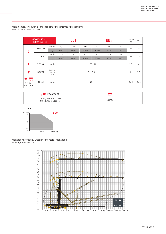|                                                                              | 400 V - 50 Hz<br>480 V - 60 Hz |                        |      | <b>LJt</b>          |      |      | UUt  |      | $ch$ - $PS$<br>hp | kW |  |  |
|------------------------------------------------------------------------------|--------------------------------|------------------------|------|---------------------|------|------|------|------|-------------------|----|--|--|
|                                                                              |                                | m/min                  | 5,4  | 30                  | 60   | 2,7  | 15   | 30   |                   |    |  |  |
| $\blacktriangle$                                                             | 33 PC 20                       | kg                     | 4000 | 4000                | 2000 | 8000 | 8000 | 4000 | 33                | 24 |  |  |
| Ģ                                                                            |                                | m/min                  | 5,4  | 31                  | 62   | 2,7  | 15,5 | 31   | 33                | 24 |  |  |
|                                                                              | 33 LVF 20                      | kg                     | 4000 | 4000                | 2000 | 8000 | 8000 | 4000 |                   |    |  |  |
| $\blacksquare$                                                               | 5 D3 V4                        | m/min                  |      | $15 - 30 - 58$      |      |      |      |      |                   |    |  |  |
| $\bullet$                                                                    | <b>RCV 62</b>                  | tr/min<br>U/min<br>rpm |      | $0 \rightarrow 0.8$ |      |      |      |      |                   |    |  |  |
| $L_{\bullet}$ and $\bullet$<br>$\bigoplus$<br>$R \ge 8$ m<br>$H \leq 32,8$ m | <b>TB124</b>                   | m/min                  |      | 25                  |      |      |      |      |                   |    |  |  |

Mécanismes / Triebwerke / Mechanisms / Mecanismos / Meccanismi Mecanismos / Механизмы

| $\blacksquare$ IEC 60204-32                       | <b>kVA</b> |
|---------------------------------------------------|------------|
| 400 V (+10% -10%) 50 Hz<br>480 V (+6% -10%) 60 Hz | 50 kVA     |

33 LVF 20



Montage / Montage / Erection / Montaje / Montaggio Montagem / Монтаж